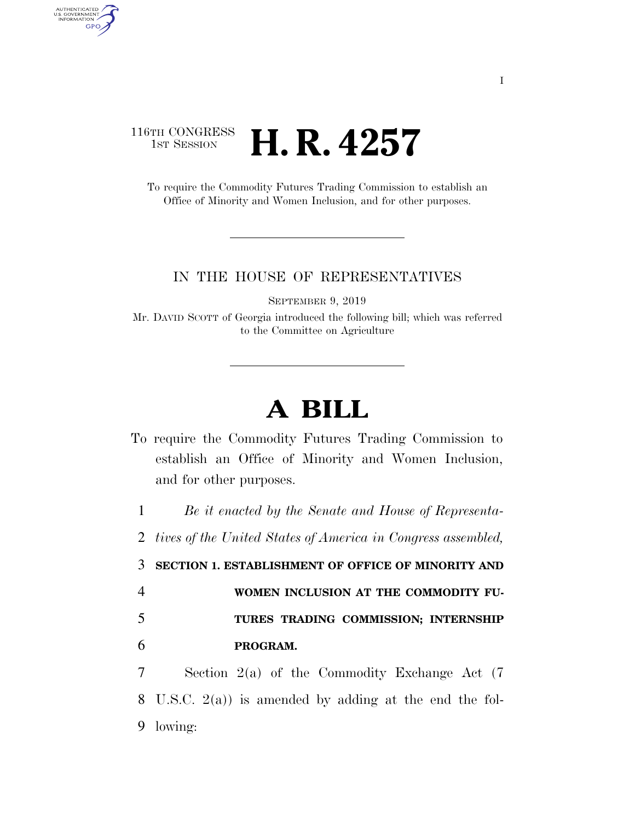## 116TH CONGRESS <sup>TH CONGRESS</sup> **H. R. 4257**

AUTHENTICATED<br>U.S. GOVERNMENT<br>INFORMATION

**GPO** 

To require the Commodity Futures Trading Commission to establish an Office of Minority and Women Inclusion, and for other purposes.

## IN THE HOUSE OF REPRESENTATIVES

SEPTEMBER 9, 2019

Mr. DAVID SCOTT of Georgia introduced the following bill; which was referred to the Committee on Agriculture

## **A BILL**

To require the Commodity Futures Trading Commission to establish an Office of Minority and Women Inclusion, and for other purposes.

 *Be it enacted by the Senate and House of Representa- tives of the United States of America in Congress assembled,*  **SECTION 1. ESTABLISHMENT OF OFFICE OF MINORITY AND WOMEN INCLUSION AT THE COMMODITY FU-TURES TRADING COMMISSION; INTERNSHIP** 

6 **PROGRAM.** 

7 Section 2(a) of the Commodity Exchange Act (7 8 U.S.C. 2(a)) is amended by adding at the end the fol-9 lowing: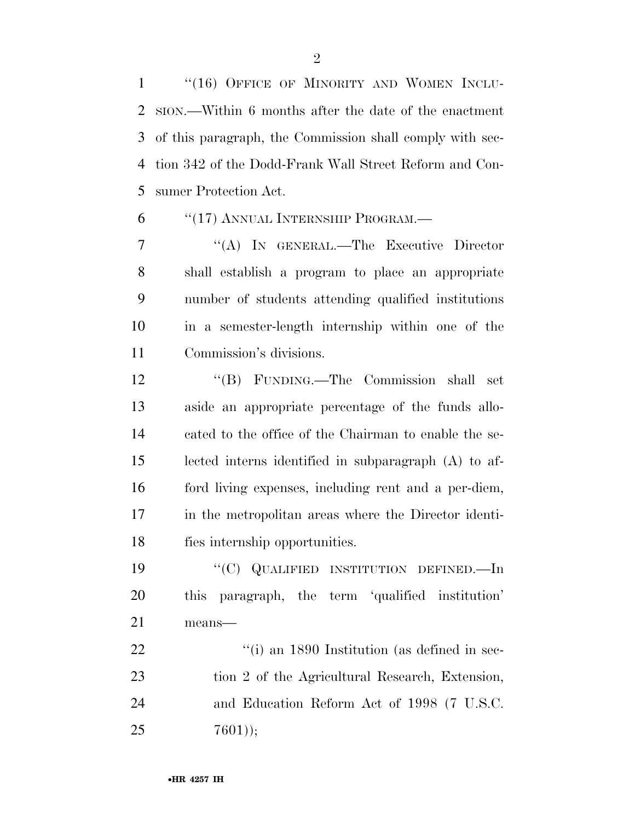1 "(16) OFFICE OF MINORITY AND WOMEN INCLU- SION.—Within 6 months after the date of the enactment of this paragraph, the Commission shall comply with sec- tion 342 of the Dodd-Frank Wall Street Reform and Con-sumer Protection Act.

''(17) ANNUAL INTERNSHIP PROGRAM.—

 ''(A) IN GENERAL.—The Executive Director shall establish a program to place an appropriate number of students attending qualified institutions in a semester-length internship within one of the Commission's divisions.

 ''(B) FUNDING.—The Commission shall set aside an appropriate percentage of the funds allo- cated to the office of the Chairman to enable the se- lected interns identified in subparagraph (A) to af- ford living expenses, including rent and a per-diem, in the metropolitan areas where the Director identi-fies internship opportunities.

 ''(C) QUALIFIED INSTITUTION DEFINED.—In this paragraph, the term 'qualified institution' means—

22 ''(i) an 1890 Institution (as defined in sec- tion 2 of the Agricultural Research, Extension, and Education Reform Act of 1998 (7 U.S.C.  $7601$ );